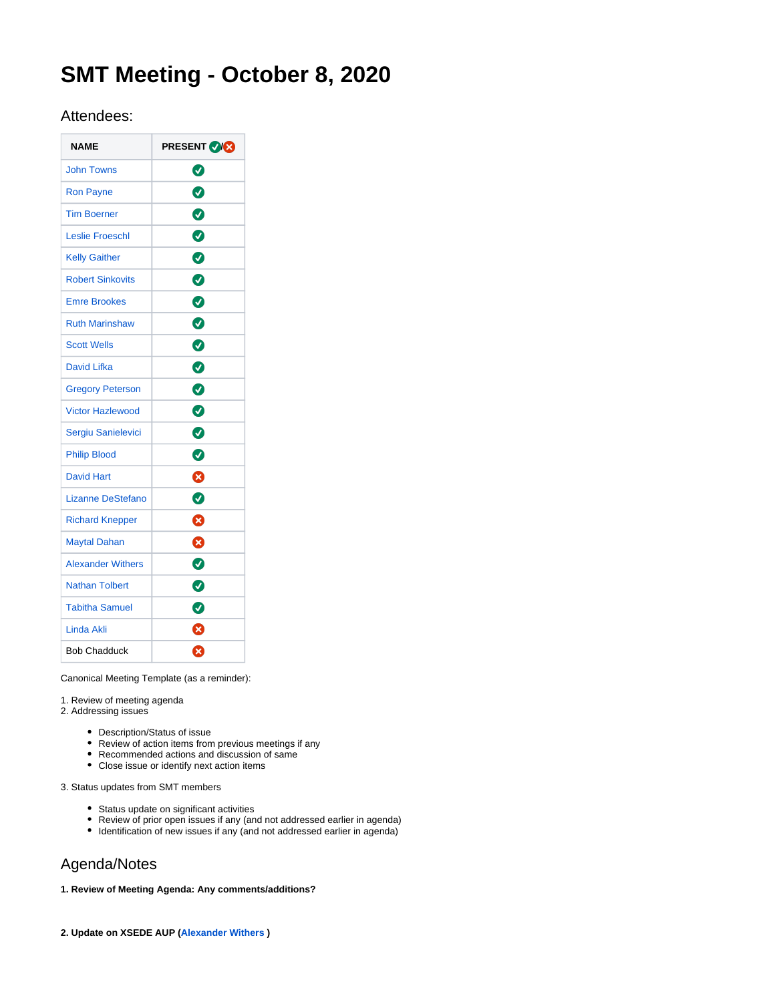# **SMT Meeting - October 8, 2020**

## Attendees:

| <b>NAME</b>              | <b>PRESENT VICE</b> |
|--------------------------|---------------------|
| <b>John Towns</b>        | ◙                   |
| <b>Ron Payne</b>         | $\bullet$           |
| <b>Tim Boerner</b>       | Ø                   |
| Leslie Froeschl          | 0                   |
| <b>Kelly Gaither</b>     | ◙                   |
| <b>Robert Sinkovits</b>  | $\bullet$           |
| <b>Emre Brookes</b>      | Ø                   |
| <b>Ruth Marinshaw</b>    | Ø                   |
| <b>Scott Wells</b>       | 0                   |
| David Lifka              | 0                   |
| <b>Gregory Peterson</b>  | $\bullet$           |
| <b>Victor Hazlewood</b>  | Ø                   |
| Sergiu Sanielevici       | $\bullet$           |
| <b>Philip Blood</b>      | Ø                   |
| <b>David Hart</b>        | Ø                   |
| Lizanne DeStefano        | Ø                   |
| <b>Richard Knepper</b>   | ⊗                   |
| <b>Maytal Dahan</b>      | ظ                   |
| <b>Alexander Withers</b> | ◙                   |
| <b>Nathan Tolbert</b>    | ◙                   |
| <b>Tabitha Samuel</b>    | Ø                   |
| <b>Linda Akli</b>        | ❸                   |
| <b>Bob Chadduck</b>      | ణ                   |

Canonical Meeting Template (as a reminder):

1. Review of meeting agenda

- 2. Addressing issues
	- Description/Status of issue
	- Review of action items from previous meetings if any
	- Recommended actions and discussion of same
	- Close issue or identify next action items

3. Status updates from SMT members

- Status update on significant activities
- Review of prior open issues if any (and not addressed earlier in agenda)
- Identification of new issues if any (and not addressed earlier in agenda)

## Agenda/Notes

### **1. Review of Meeting Agenda: Any comments/additions?**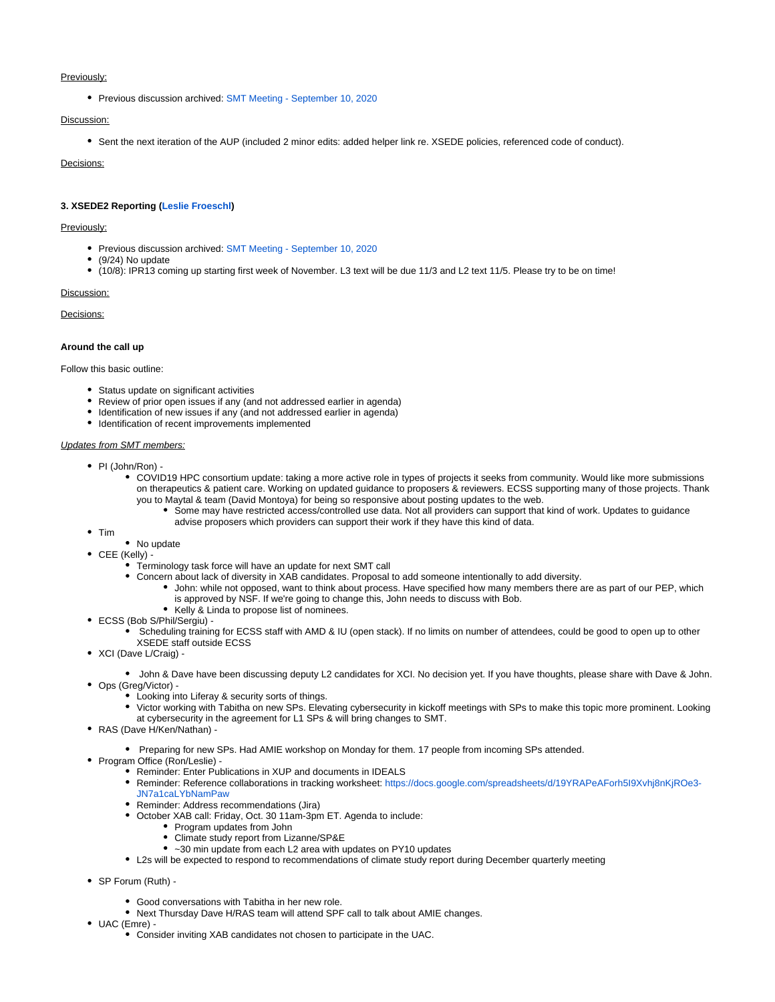#### Previously:

• Previous discussion archived: [SMT Meeting - September 10, 2020](https://confluence.xsede.org/display/XT/SMT+Meeting+-+September+10%2C+2020)

#### Discussion:

Sent the next iteration of the AUP (included 2 minor edits: added helper link re. XSEDE policies, referenced code of conduct).

Decisions:

#### **3. XSEDE2 Reporting [\(Leslie Froeschl\)](https://confluence.xsede.org/display/~lfroesch)**

#### Previously:

- **Previous discussion archived: [SMT Meeting September 10, 2020](https://confluence.xsede.org/display/XT/SMT+Meeting+-+September+10%2C+2020)**
- (9/24) No update
- (10/8): IPR13 coming up starting first week of November. L3 text will be due 11/3 and L2 text 11/5. Please try to be on time!

#### Discussion:

Decisions:

#### **Around the call up**

Follow this basic outline:

- Status update on significant activities
- Review of prior open issues if any (and not addressed earlier in agenda)
- Identification of new issues if any (and not addressed earlier in agenda)
- $\bullet$  Identification of recent improvements implemented

#### Updates from SMT members:

- PI (John/Ron)
	- COVID19 HPC consortium update: taking a more active role in types of projects it seeks from community. Would like more submissions on therapeutics & patient care. Working on updated guidance to proposers & reviewers. ECSS supporting many of those projects. Thank you to Maytal & team (David Montoya) for being so responsive about posting updates to the web.
		- Some may have restricted access/controlled use data. Not all providers can support that kind of work. Updates to guidance advise proposers which providers can support their work if they have this kind of data.
- $\bullet$  Tim
- No update
- CEE (Kelly) -
	- Terminology task force will have an update for next SMT call
	- Concern about lack of diversity in XAB candidates. Proposal to add someone intentionally to add diversity.
		- John: while not opposed, want to think about process. Have specified how many members there are as part of our PEP, which is approved by NSF. If we're going to change this, John needs to discuss with Bob.
		- Kelly & Linda to propose list of nominees.
- ECSS (Bob S/Phil/Sergiu)
	- Scheduling training for ECSS staff with AMD & IU (open stack). If no limits on number of attendees, could be good to open up to other XSEDE staff outside ECSS
- XCI (Dave L/Craig) -
- John & Dave have been discussing deputy L2 candidates for XCI. No decision yet. If you have thoughts, please share with Dave & John. Ops (Greg/Victor) -
	- Looking into Liferay & security sorts of things.
	- Victor working with Tabitha on new SPs. Elevating cybersecurity in kickoff meetings with SPs to make this topic more prominent. Looking at cybersecurity in the agreement for L1 SPs & will bring changes to SMT.
- RAS (Dave H/Ken/Nathan) -
	- Preparing for new SPs. Had AMIE workshop on Monday for them. 17 people from incoming SPs attended.
- Program Office (Ron/Leslie) -
	- Reminder: Enter Publications in XUP and documents in IDEALS
	- Reminder: Reference collaborations in tracking worksheet: [https://docs.google.com/spreadsheets/d/19YRAPeAForh5I9Xvhj8nKjROe3-](https://docs.google.com/spreadsheets/d/19YRAPeAForh5I9Xvhj8nKjROe3-JN7a1caLYbNamPaw) [JN7a1caLYbNamPaw](https://docs.google.com/spreadsheets/d/19YRAPeAForh5I9Xvhj8nKjROe3-JN7a1caLYbNamPaw)
	- Reminder: Address recommendations (Jira)
	- October XAB call: Friday, Oct. 30 11am-3pm ET. Agenda to include:
		- Program updates from John
			- Climate study report from Lizanne/SP&E
			- ~30 min update from each L2 area with updates on PY10 updates
	- L2s will be expected to respond to recommendations of climate study report during December quarterly meeting
- SP Forum (Ruth)
	- Good conversations with Tabitha in her new role.
	- Next Thursday Dave H/RAS team will attend SPF call to talk about AMIE changes.
- UAC (Emre)
	- Consider inviting XAB candidates not chosen to participate in the UAC.